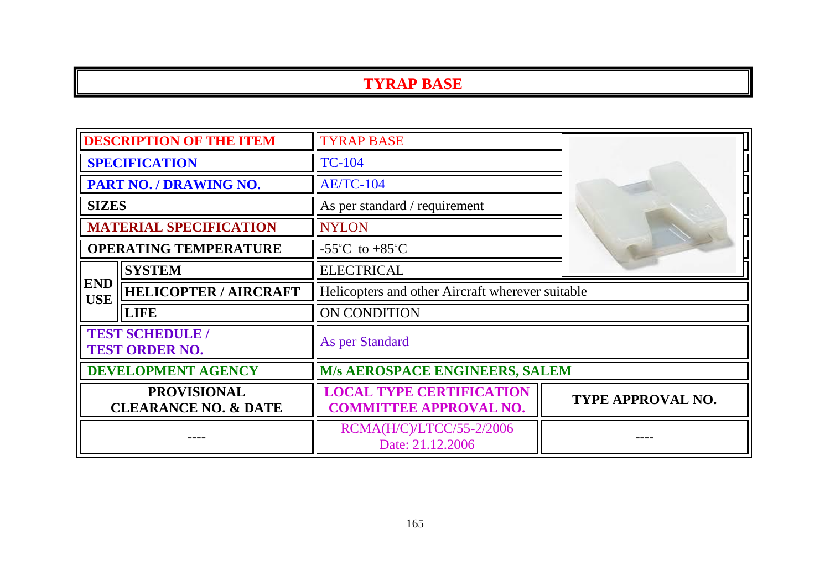#### **TYRAP BASE**

| <b>DESCRIPTION OF THE ITEM</b>                        |                              | <b>TYRAP BASE</b>                                                |                          |  |
|-------------------------------------------------------|------------------------------|------------------------------------------------------------------|--------------------------|--|
| <b>SPECIFICATION</b>                                  |                              | <b>TC-104</b>                                                    |                          |  |
| PART NO. / DRAWING NO.                                |                              | <b>AE/TC-104</b>                                                 |                          |  |
| <b>SIZES</b>                                          |                              | As per standard / requirement                                    |                          |  |
| <b>MATERIAL SPECIFICATION</b>                         |                              | <b>NYLON</b>                                                     |                          |  |
| <b>OPERATING TEMPERATURE</b>                          |                              | -55 $^{\circ}$ C to +85 $^{\circ}$ C                             |                          |  |
|                                                       | <b>SYSTEM</b>                | <b>ELECTRICAL</b>                                                |                          |  |
| <b>END</b><br><b>USE</b>                              | <b>HELICOPTER / AIRCRAFT</b> | Helicopters and other Aircraft wherever suitable                 |                          |  |
|                                                       | <b>LIFE</b>                  | <b>ON CONDITION</b>                                              |                          |  |
| <b>TEST SCHEDULE /</b><br><b>TEST ORDER NO.</b>       |                              | As per Standard                                                  |                          |  |
| DEVELOPMENT AGENCY                                    |                              | M/s AEROSPACE ENGINEERS, SALEM                                   |                          |  |
| <b>PROVISIONAL</b><br><b>CLEARANCE NO. &amp; DATE</b> |                              | <b>LOCAL TYPE CERTIFICATION</b><br><b>COMMITTEE APPROVAL NO.</b> | <b>TYPE APPROVAL NO.</b> |  |
|                                                       |                              | RCMA(H/C)/LTCC/55-2/2006<br>Date: 21.12.2006                     |                          |  |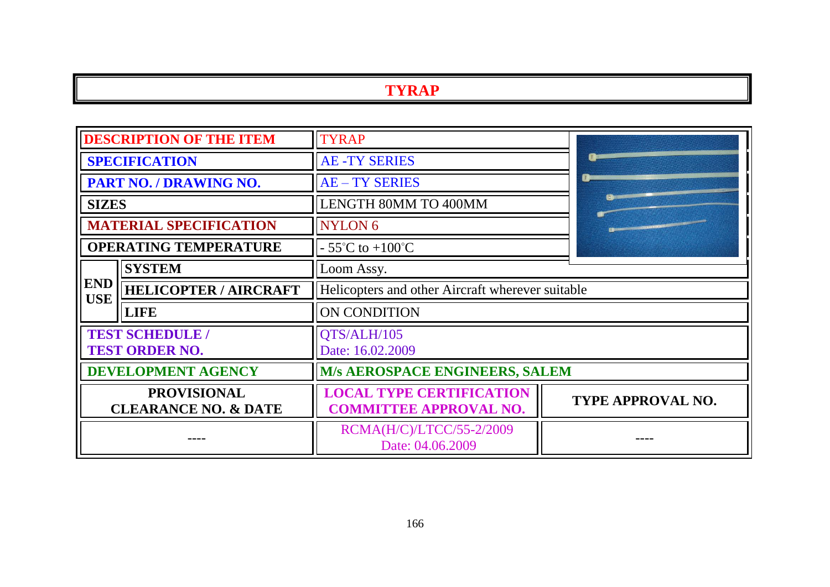# **TYRAP**

| <b>DESCRIPTION OF THE ITEM</b>                        |                              | <b>TYRAP</b>                                                     |                          |
|-------------------------------------------------------|------------------------------|------------------------------------------------------------------|--------------------------|
| <b>SPECIFICATION</b>                                  |                              | <b>AE-TY SERIES</b>                                              |                          |
| PART NO. / DRAWING NO.                                |                              | <b>AE-TY SERIES</b>                                              |                          |
| <b>SIZES</b>                                          |                              | <b>LENGTH 80MM TO 400MM</b>                                      |                          |
| <b>MATERIAL SPECIFICATION</b>                         |                              | NYLON <sub>6</sub>                                               |                          |
| <b>OPERATING TEMPERATURE</b>                          |                              | $-55^{\circ}$ C to $+100^{\circ}$ C                              |                          |
|                                                       | <b>SYSTEM</b>                | Loom Assy.                                                       |                          |
| <b>END</b><br><b>USE</b>                              | <b>HELICOPTER / AIRCRAFT</b> | Helicopters and other Aircraft wherever suitable                 |                          |
|                                                       | <b>LIFE</b>                  | ON CONDITION                                                     |                          |
| <b>TEST SCHEDULE /</b><br><b>TEST ORDER NO.</b>       |                              | QTS/ALH/105<br>Date: 16.02.2009                                  |                          |
| <b>DEVELOPMENT AGENCY</b>                             |                              | M/s AEROSPACE ENGINEERS, SALEM                                   |                          |
| <b>PROVISIONAL</b><br><b>CLEARANCE NO. &amp; DATE</b> |                              | <b>LOCAL TYPE CERTIFICATION</b><br><b>COMMITTEE APPROVAL NO.</b> | <b>TYPE APPROVAL NO.</b> |
|                                                       |                              | RCMA(H/C)/LTCC/55-2/2009<br>Date: 04.06.2009                     |                          |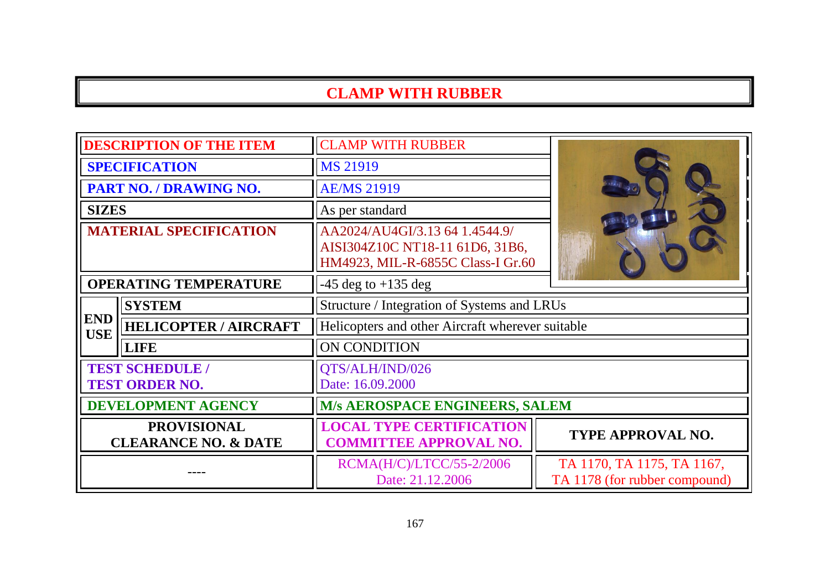| <b>DESCRIPTION OF THE ITEM</b>                        |                              | <b>CLAMP WITH RUBBER</b>                                                                               |                                                             |  |
|-------------------------------------------------------|------------------------------|--------------------------------------------------------------------------------------------------------|-------------------------------------------------------------|--|
| <b>SPECIFICATION</b>                                  |                              | <b>MS 21919</b>                                                                                        |                                                             |  |
| PART NO. / DRAWING NO.                                |                              | <b>AE/MS 21919</b>                                                                                     |                                                             |  |
| <b>SIZES</b>                                          |                              | As per standard                                                                                        |                                                             |  |
| <b>MATERIAL SPECIFICATION</b>                         |                              | AA2024/AU4GI/3.13 64 1.4544.9/<br>AISI304Z10C NT18-11 61D6, 31B6,<br>HM4923, MIL-R-6855C Class-I Gr.60 |                                                             |  |
| <b>OPERATING TEMPERATURE</b>                          |                              | $-45$ deg to $+135$ deg                                                                                |                                                             |  |
|                                                       | <b>SYSTEM</b>                | Structure / Integration of Systems and LRUs                                                            |                                                             |  |
| <b>END</b><br><b>USE</b>                              | <b>HELICOPTER / AIRCRAFT</b> | Helicopters and other Aircraft wherever suitable                                                       |                                                             |  |
|                                                       | <b>LIFE</b>                  | ON CONDITION                                                                                           |                                                             |  |
| <b>TEST SCHEDULE /</b><br><b>TEST ORDER NO.</b>       |                              | QTS/ALH/IND/026<br>Date: 16.09.2000                                                                    |                                                             |  |
| <b>DEVELOPMENT AGENCY</b>                             |                              | <b>M/s AEROSPACE ENGINEERS, SALEM</b>                                                                  |                                                             |  |
| <b>PROVISIONAL</b><br><b>CLEARANCE NO. &amp; DATE</b> |                              | <b>LOCAL TYPE CERTIFICATION</b><br><b>COMMITTEE APPROVAL NO.</b>                                       | <b>TYPE APPROVAL NO.</b>                                    |  |
|                                                       |                              | RCMA(H/C)/LTCC/55-2/2006<br>Date: 21.12.2006                                                           | TA 1170, TA 1175, TA 1167,<br>TA 1178 (for rubber compound) |  |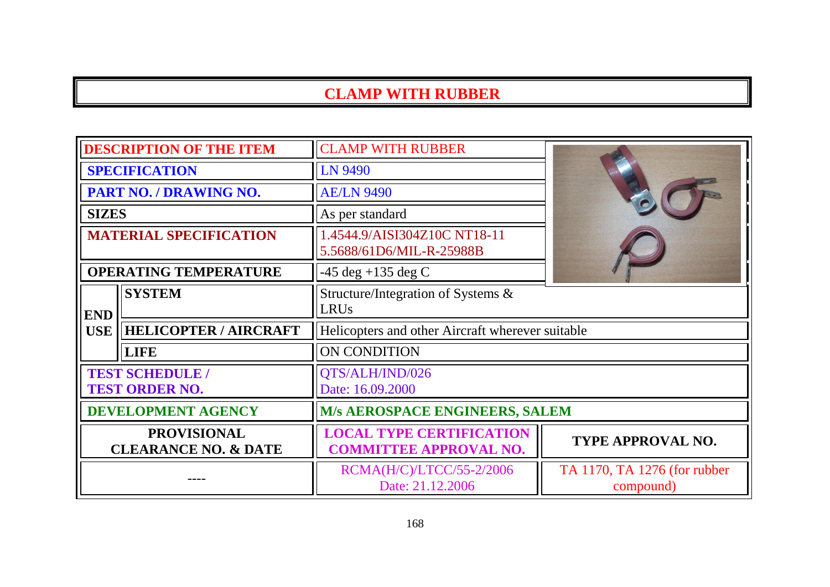| <b>DESCRIPTION OF THE ITEM</b>                        |                              | <b>CLAMP WITH RUBBER</b>                                         |                                           |
|-------------------------------------------------------|------------------------------|------------------------------------------------------------------|-------------------------------------------|
| <b>SPECIFICATION</b>                                  |                              | LN 9490                                                          |                                           |
| <b>PART NO. / DRAWING NO.</b>                         |                              | <b>AE/LN 9490</b>                                                |                                           |
| <b>SIZES</b>                                          |                              | As per standard                                                  |                                           |
| <b>MATERIAL SPECIFICATION</b>                         |                              | 1.4544.9/AISI304Z10C NT18-11<br>5.5688/61D6/MIL-R-25988B         |                                           |
| <b>OPERATING TEMPERATURE</b>                          |                              | $-45 \text{ deg } +135 \text{ deg } C$                           |                                           |
| <b>END</b>                                            | <b>SYSTEM</b>                | Structure/Integration of Systems &<br><b>LRUs</b>                |                                           |
| <b>USE</b>                                            | <b>HELICOPTER / AIRCRAFT</b> | Helicopters and other Aircraft wherever suitable                 |                                           |
|                                                       | <b>LIFE</b>                  | ON CONDITION                                                     |                                           |
| <b>TEST SCHEDULE /</b><br><b>TEST ORDER NO.</b>       |                              | QTS/ALH/IND/026<br>Date: 16.09.2000                              |                                           |
| <b>DEVELOPMENT AGENCY</b>                             |                              | <b>M/s AEROSPACE ENGINEERS, SALEM</b>                            |                                           |
| <b>PROVISIONAL</b><br><b>CLEARANCE NO. &amp; DATE</b> |                              | <b>LOCAL TYPE CERTIFICATION</b><br><b>COMMITTEE APPROVAL NO.</b> | <b>TYPE APPROVAL NO.</b>                  |
|                                                       |                              | RCMA(H/C)/LTCC/55-2/2006<br>Date: 21.12.2006                     | TA 1170, TA 1276 (for rubber<br>compound) |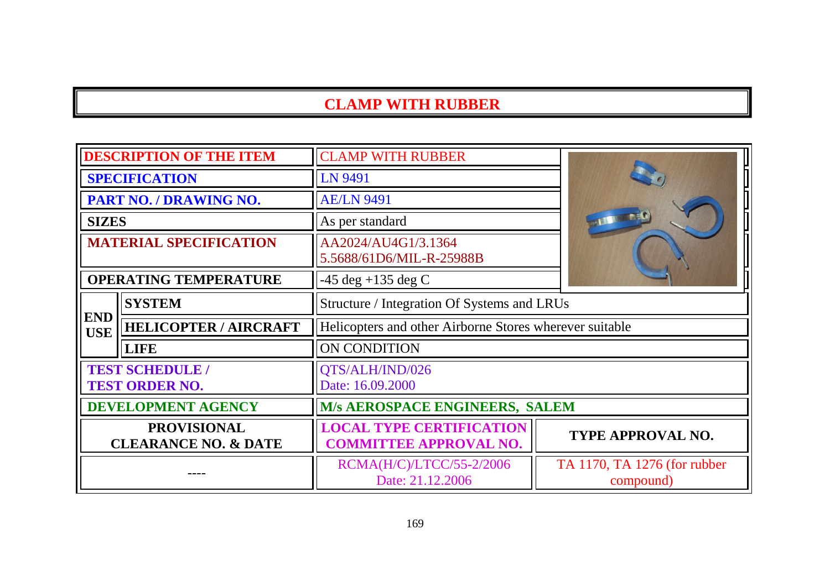| <b>DESCRIPTION OF THE ITEM</b>                        |                              | <b>CLAMP WITH RUBBER</b>                                         |                                           |  |
|-------------------------------------------------------|------------------------------|------------------------------------------------------------------|-------------------------------------------|--|
| <b>SPECIFICATION</b>                                  |                              | LN 9491                                                          |                                           |  |
| <b>PART NO. / DRAWING NO.</b>                         |                              | <b>AE/LN 9491</b>                                                |                                           |  |
| <b>SIZES</b>                                          |                              | As per standard                                                  |                                           |  |
| <b>MATERIAL SPECIFICATION</b>                         |                              | AA2024/AU4G1/3.1364<br>5.5688/61D6/MIL-R-25988B                  |                                           |  |
| <b>OPERATING TEMPERATURE</b>                          |                              | $-45 \text{ deg } +135 \text{ deg } C$                           |                                           |  |
|                                                       | <b>SYSTEM</b>                | Structure / Integration Of Systems and LRUs                      |                                           |  |
| <b>END</b><br><b>USE</b>                              | <b>HELICOPTER / AIRCRAFT</b> | Helicopters and other Airborne Stores wherever suitable          |                                           |  |
|                                                       | <b>LIFE</b>                  | ON CONDITION                                                     |                                           |  |
| <b>TEST SCHEDULE /</b><br><b>TEST ORDER NO.</b>       |                              | QTS/ALH/IND/026<br>Date: 16.09.2000                              |                                           |  |
| <b>DEVELOPMENT AGENCY</b>                             |                              | M/s AEROSPACE ENGINEERS, SALEM                                   |                                           |  |
| <b>PROVISIONAL</b><br><b>CLEARANCE NO. &amp; DATE</b> |                              | <b>LOCAL TYPE CERTIFICATION</b><br><b>COMMITTEE APPROVAL NO.</b> | TYPE APPROVAL NO.                         |  |
|                                                       |                              | RCMA(H/C)/LTCC/55-2/2006<br>Date: 21.12.2006                     | TA 1170, TA 1276 (for rubber<br>compound) |  |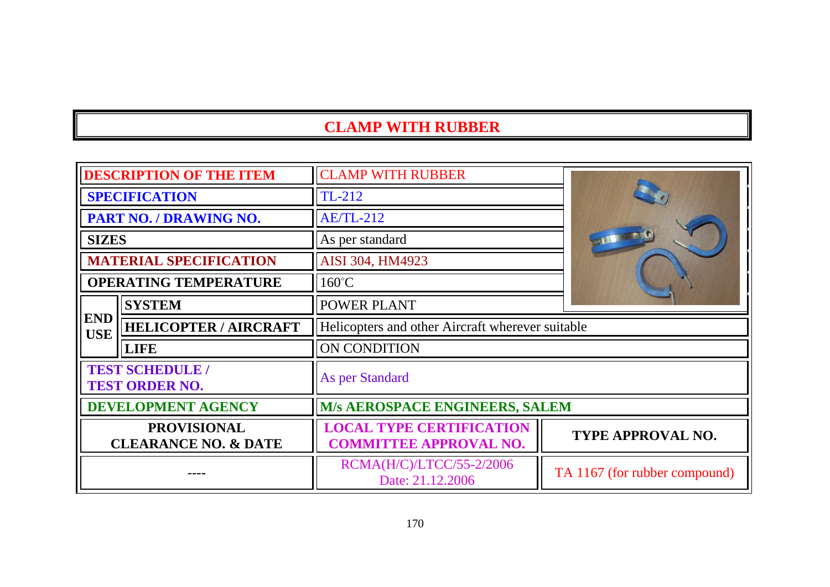| <b>DESCRIPTION OF THE ITEM</b>                        |                              | <b>CLAMP WITH RUBBER</b>                                         |                               |
|-------------------------------------------------------|------------------------------|------------------------------------------------------------------|-------------------------------|
| <b>SPECIFICATION</b>                                  |                              | $TL-212$                                                         |                               |
| PART NO. / DRAWING NO.                                |                              | <b>AE/TL-212</b>                                                 |                               |
| <b>SIZES</b>                                          |                              | As per standard                                                  |                               |
| <b>MATERIAL SPECIFICATION</b>                         |                              | AISI 304, HM4923                                                 |                               |
| <b>OPERATING TEMPERATURE</b>                          |                              | $160^{\circ}$ C                                                  |                               |
|                                                       | <b>SYSTEM</b>                | <b>POWER PLANT</b>                                               |                               |
| <b>END</b><br><b>USE</b>                              | <b>HELICOPTER / AIRCRAFT</b> | Helicopters and other Aircraft wherever suitable                 |                               |
|                                                       | <b>LIFE</b>                  | ON CONDITION                                                     |                               |
| <b>TEST SCHEDULE /</b><br><b>TEST ORDER NO.</b>       |                              | As per Standard                                                  |                               |
| <b>DEVELOPMENT AGENCY</b>                             |                              | M/s AEROSPACE ENGINEERS, SALEM                                   |                               |
| <b>PROVISIONAL</b><br><b>CLEARANCE NO. &amp; DATE</b> |                              | <b>LOCAL TYPE CERTIFICATION</b><br><b>COMMITTEE APPROVAL NO.</b> | <b>TYPE APPROVAL NO.</b>      |
|                                                       |                              | RCMA(H/C)/LTCC/55-2/2006<br>Date: 21.12.2006                     | TA 1167 (for rubber compound) |